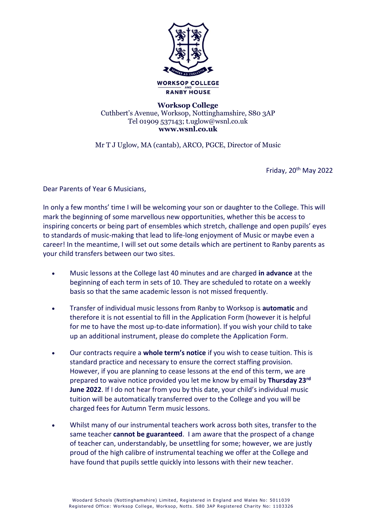

## **Worksop College**  Cuthbert's Avenue, Worksop, Nottinghamshire, S80 3AP Tel 01909 537143; t.uglow@wsnl.co.uk **www.wsnl.co.uk**

Mr T J Uglow, MA (cantab), ARCO, PGCE, Director of Music

Friday, 20<sup>th</sup> May 2022

Dear Parents of Year 6 Musicians,

In only a few months' time I will be welcoming your son or daughter to the College. This will mark the beginning of some marvellous new opportunities, whether this be access to inspiring concerts or being part of ensembles which stretch, challenge and open pupils' eyes to standards of music-making that lead to life-long enjoyment of Music or maybe even a career! In the meantime, I will set out some details which are pertinent to Ranby parents as your child transfers between our two sites.

- Music lessons at the College last 40 minutes and are charged **in advance** at the beginning of each term in sets of 10. They are scheduled to rotate on a weekly basis so that the same academic lesson is not missed frequently.
- Transfer of individual music lessons from Ranby to Worksop is **automatic** and therefore it is not essential to fill in the Application Form (however it is helpful for me to have the most up-to-date information). If you wish your child to take up an additional instrument, please do complete the Application Form.
- Our contracts require a **whole term's notice** if you wish to cease tuition. This is standard practice and necessary to ensure the correct staffing provision. However, if you are planning to cease lessons at the end of this term, we are prepared to waive notice provided you let me know by email by **Thursday 23rd June 2022**. If I do not hear from you by this date, your child's individual music tuition will be automatically transferred over to the College and you will be charged fees for Autumn Term music lessons.
- Whilst many of our instrumental teachers work across both sites, transfer to the same teacher **cannot be guaranteed**. I am aware that the prospect of a change of teacher can, understandably, be unsettling for some; however, we are justly proud of the high calibre of instrumental teaching we offer at the College and have found that pupils settle quickly into lessons with their new teacher.